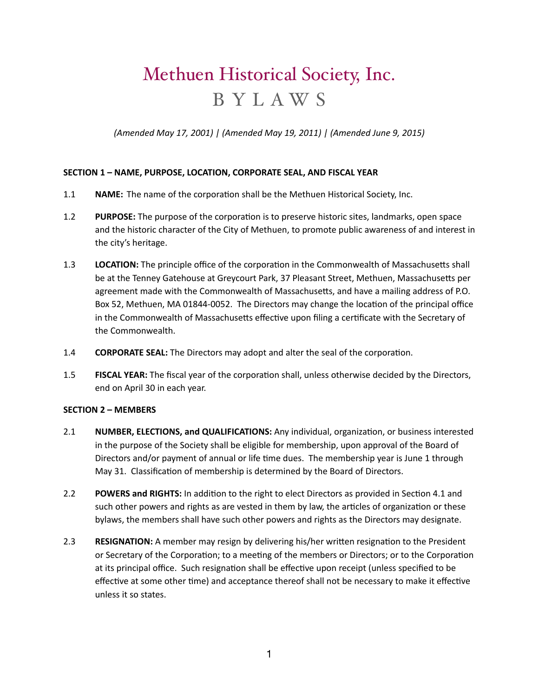# Methuen Historical Society, Inc. BYLAWS

*(Amended May 17, 2001) | (Amended May 19, 2011) | (Amended June 9, 2015)* 

# **SECTION 1 - NAME, PURPOSE, LOCATION, CORPORATE SEAL, AND FISCAL YEAR**

- 1.1 **NAME:** The name of the corporation shall be the Methuen Historical Society, Inc.
- 1.2 **PURPOSE:** The purpose of the corporation is to preserve historic sites, landmarks, open space and the historic character of the City of Methuen, to promote public awareness of and interest in the city's heritage.
- 1.3 **LOCATION:** The principle office of the corporation in the Commonwealth of Massachusetts shall be at the Tenney Gatehouse at Greycourt Park, 37 Pleasant Street, Methuen, Massachusetts per agreement made with the Commonwealth of Massachusetts, and have a mailing address of P.O. Box 52, Methuen, MA 01844-0052. The Directors may change the location of the principal office in the Commonwealth of Massachusetts effective upon filing a certificate with the Secretary of the Commonwealth.
- 1.4 **CORPORATE SEAL:** The Directors may adopt and alter the seal of the corporation.
- 1.5 **FISCAL YEAR:** The fiscal year of the corporation shall, unless otherwise decided by the Directors, end on April 30 in each year.

# **SECTION 2 - MEMBERS**

- 2.1 **NUMBER, ELECTIONS, and QUALIFICATIONS:** Any individual, organization, or business interested in the purpose of the Society shall be eligible for membership, upon approval of the Board of Directors and/or payment of annual or life time dues. The membership year is June 1 through May 31. Classification of membership is determined by the Board of Directors.
- 2.2 **POWERS and RIGHTS:** In addition to the right to elect Directors as provided in Section 4.1 and such other powers and rights as are vested in them by law, the articles of organization or these bylaws, the members shall have such other powers and rights as the Directors may designate.
- 2.3 **RESIGNATION:** A member may resign by delivering his/her written resignation to the President or Secretary of the Corporation; to a meeting of the members or Directors; or to the Corporation at its principal office. Such resignation shall be effective upon receipt (unless specified to be effective at some other time) and acceptance thereof shall not be necessary to make it effective unless it so states.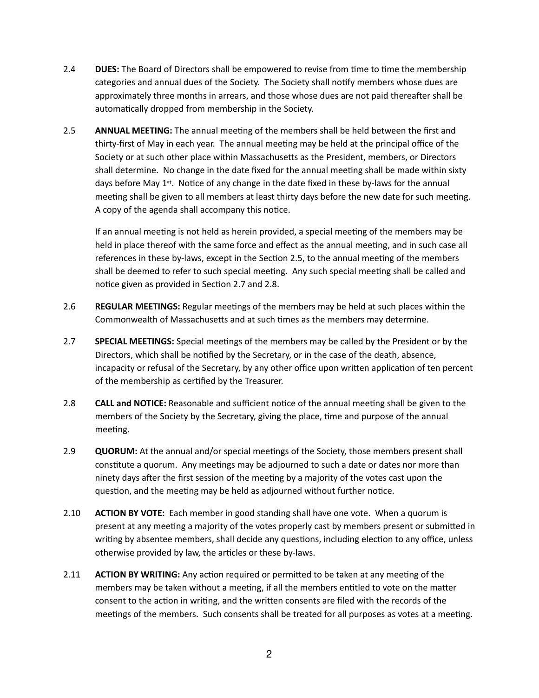- 2.4 **DUES:** The Board of Directors shall be empowered to revise from time to time the membership categories and annual dues of the Society. The Society shall notify members whose dues are approximately three months in arrears, and those whose dues are not paid thereafter shall be automatically dropped from membership in the Society.
- 2.5 **ANNUAL MEETING:** The annual meeting of the members shall be held between the first and thirty-first of May in each year. The annual meeting may be held at the principal office of the Society or at such other place within Massachusetts as the President, members, or Directors shall determine. No change in the date fixed for the annual meeting shall be made within sixty days before May 1<sup>st</sup>. Notice of any change in the date fixed in these by-laws for the annual meeting shall be given to all members at least thirty days before the new date for such meeting. A copy of the agenda shall accompany this notice.

If an annual meeting is not held as herein provided, a special meeting of the members may be held in place thereof with the same force and effect as the annual meeting, and in such case all references in these by-laws, except in the Section 2.5, to the annual meeting of the members shall be deemed to refer to such special meeting. Any such special meeting shall be called and notice given as provided in Section 2.7 and 2.8.

- 2.6 **REGULAR MEETINGS:** Regular meetings of the members may be held at such places within the Commonwealth of Massachusetts and at such times as the members may determine.
- 2.7 **SPECIAL MEETINGS:** Special meetings of the members may be called by the President or by the Directors, which shall be notified by the Secretary, or in the case of the death, absence, incapacity or refusal of the Secretary, by any other office upon written application of ten percent of the membership as certified by the Treasurer.
- 2.8 **CALL and NOTICE:** Reasonable and sufficient notice of the annual meeting shall be given to the members of the Society by the Secretary, giving the place, time and purpose of the annual meeting.
- 2.9 **QUORUM:** At the annual and/or special meetings of the Society, those members present shall constitute a quorum. Any meetings may be adjourned to such a date or dates nor more than ninety days after the first session of the meeting by a majority of the votes cast upon the question, and the meeting may be held as adjourned without further notice.
- 2.10 **ACTION BY VOTE:** Each member in good standing shall have one vote. When a quorum is present at any meeting a majority of the votes properly cast by members present or submitted in writing by absentee members, shall decide any questions, including election to any office, unless otherwise provided by law, the articles or these by-laws.
- 2.11 **ACTION BY WRITING:** Any action required or permitted to be taken at any meeting of the members may be taken without a meeting, if all the members entitled to vote on the matter consent to the action in writing, and the written consents are filed with the records of the meetings of the members. Such consents shall be treated for all purposes as votes at a meeting.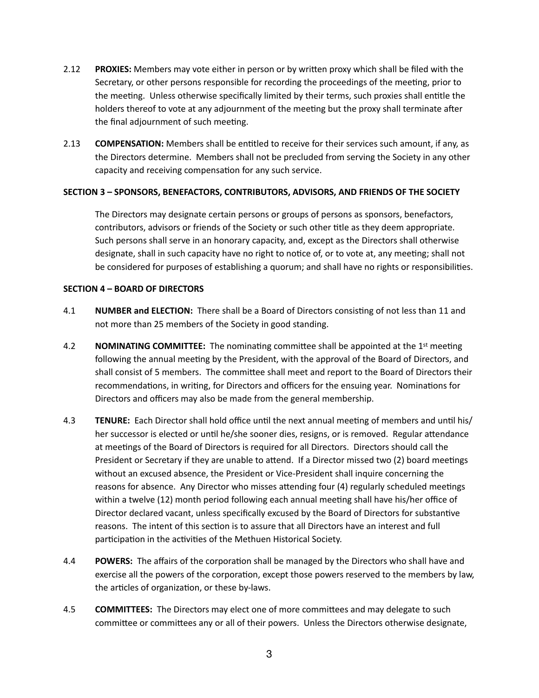- 2.12 **PROXIES:** Members may vote either in person or by written proxy which shall be filed with the Secretary, or other persons responsible for recording the proceedings of the meeting, prior to the meeting. Unless otherwise specifically limited by their terms, such proxies shall entitle the holders thereof to vote at any adjournment of the meeting but the proxy shall terminate after the final adjournment of such meeting.
- 2.13 **COMPENSATION:** Members shall be entitled to receive for their services such amount, if any, as the Directors determine. Members shall not be precluded from serving the Society in any other capacity and receiving compensation for any such service.

#### SECTION 3 - SPONSORS, BENEFACTORS, CONTRIBUTORS, ADVISORS, AND FRIENDS OF THE SOCIETY

The Directors may designate certain persons or groups of persons as sponsors, benefactors, contributors, advisors or friends of the Society or such other title as they deem appropriate. Such persons shall serve in an honorary capacity, and, except as the Directors shall otherwise designate, shall in such capacity have no right to notice of, or to vote at, any meeting; shall not be considered for purposes of establishing a quorum; and shall have no rights or responsibilities.

#### **SECTION 4 – BOARD OF DIRECTORS**

- 4.1 **NUMBER and ELECTION:** There shall be a Board of Directors consisting of not less than 11 and not more than 25 members of the Society in good standing.
- 4.2 **NOMINATING COMMITTEE:** The nominating committee shall be appointed at the  $1<sup>st</sup>$  meeting following the annual meeting by the President, with the approval of the Board of Directors, and shall consist of 5 members. The committee shall meet and report to the Board of Directors their recommendations, in writing, for Directors and officers for the ensuing year. Nominations for Directors and officers may also be made from the general membership.
- 4.3 **TENURE:** Each Director shall hold office until the next annual meeting of members and until his/ her successor is elected or until he/she sooner dies, resigns, or is removed. Regular attendance at meetings of the Board of Directors is required for all Directors. Directors should call the President or Secretary if they are unable to attend. If a Director missed two (2) board meetings without an excused absence, the President or Vice-President shall inquire concerning the reasons for absence. Any Director who misses attending four (4) regularly scheduled meetings within a twelve (12) month period following each annual meeting shall have his/her office of Director declared vacant, unless specifically excused by the Board of Directors for substantive reasons. The intent of this section is to assure that all Directors have an interest and full participation in the activities of the Methuen Historical Society.
- 4.4 **POWERS:** The affairs of the corporation shall be managed by the Directors who shall have and exercise all the powers of the corporation, except those powers reserved to the members by law, the articles of organization, or these by-laws.
- 4.5 **COMMITTEES:** The Directors may elect one of more committees and may delegate to such committee or committees any or all of their powers. Unless the Directors otherwise designate,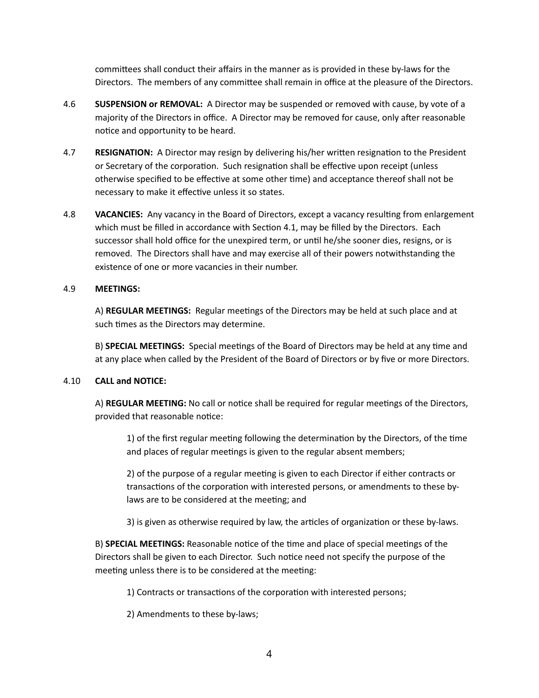committees shall conduct their affairs in the manner as is provided in these by-laws for the Directors. The members of any committee shall remain in office at the pleasure of the Directors.

- 4.6 SUSPENSION or REMOVAL: A Director may be suspended or removed with cause, by vote of a majority of the Directors in office. A Director may be removed for cause, only after reasonable notice and opportunity to be heard.
- 4.7 **RESIGNATION:** A Director may resign by delivering his/her written resignation to the President or Secretary of the corporation. Such resignation shall be effective upon receipt (unless otherwise specified to be effective at some other time) and acceptance thereof shall not be necessary to make it effective unless it so states.
- 4.8 **VACANCIES:** Any vacancy in the Board of Directors, except a vacancy resulting from enlargement which must be filled in accordance with Section 4.1, may be filled by the Directors. Each successor shall hold office for the unexpired term, or until he/she sooner dies, resigns, or is removed. The Directors shall have and may exercise all of their powers notwithstanding the existence of one or more vacancies in their number.

# 4.9 **MEETINGS:**

A) **REGULAR MEETINGS:** Regular meetings of the Directors may be held at such place and at such times as the Directors may determine.

B) **SPECIAL MEETINGS:** Special meetings of the Board of Directors may be held at any time and at any place when called by the President of the Board of Directors or by five or more Directors.

# 4.10 **CALL and NOTICE:**

A) REGULAR MEETING: No call or notice shall be required for regular meetings of the Directors, provided that reasonable notice:

1) of the first regular meeting following the determination by the Directors, of the time and places of regular meetings is given to the regular absent members;

2) of the purpose of a regular meeting is given to each Director if either contracts or transactions of the corporation with interested persons, or amendments to these bylaws are to be considered at the meeting; and

3) is given as otherwise required by law, the articles of organization or these by-laws.

B) **SPECIAL MEETINGS:** Reasonable notice of the time and place of special meetings of the Directors shall be given to each Director. Such notice need not specify the purpose of the meeting unless there is to be considered at the meeting:

1) Contracts or transactions of the corporation with interested persons;

2) Amendments to these by-laws;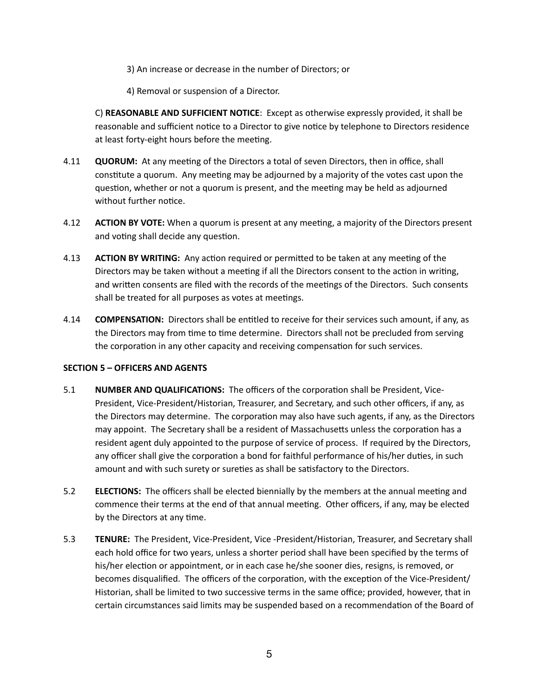- 3) An increase or decrease in the number of Directors; or
- 4) Removal or suspension of a Director.

C) **REASONABLE AND SUFFICIENT NOTICE**: Except as otherwise expressly provided, it shall be reasonable and sufficient notice to a Director to give notice by telephone to Directors residence at least forty-eight hours before the meeting.

- 4.11 **QUORUM:** At any meeting of the Directors a total of seven Directors, then in office, shall constitute a quorum. Any meeting may be adjourned by a majority of the votes cast upon the question, whether or not a quorum is present, and the meeting may be held as adjourned without further notice.
- 4.12 **ACTION BY VOTE:** When a quorum is present at any meeting, a majority of the Directors present and voting shall decide any question.
- 4.13 **ACTION BY WRITING:** Any action required or permitted to be taken at any meeting of the Directors may be taken without a meeting if all the Directors consent to the action in writing, and written consents are filed with the records of the meetings of the Directors. Such consents shall be treated for all purposes as votes at meetings.
- 4.14 **COMPENSATION:** Directors shall be entitled to receive for their services such amount, if any, as the Directors may from time to time determine. Directors shall not be precluded from serving the corporation in any other capacity and receiving compensation for such services.

# **SECTION 5 - OFFICERS AND AGENTS**

- 5.1 **NUMBER AND QUALIFICATIONS:** The officers of the corporation shall be President, Vice-President, Vice-President/Historian, Treasurer, and Secretary, and such other officers, if any, as the Directors may determine. The corporation may also have such agents, if any, as the Directors may appoint. The Secretary shall be a resident of Massachusetts unless the corporation has a resident agent duly appointed to the purpose of service of process. If required by the Directors, any officer shall give the corporation a bond for faithful performance of his/her duties, in such amount and with such surety or sureties as shall be satisfactory to the Directors.
- 5.2 **ELECTIONS:** The officers shall be elected biennially by the members at the annual meeting and commence their terms at the end of that annual meeting. Other officers, if any, may be elected by the Directors at any time.
- 5.3 **TENURE:** The President, Vice-President, Vice -President/Historian, Treasurer, and Secretary shall each hold office for two years, unless a shorter period shall have been specified by the terms of his/her election or appointment, or in each case he/she sooner dies, resigns, is removed, or becomes disqualified. The officers of the corporation, with the exception of the Vice-President/ Historian, shall be limited to two successive terms in the same office; provided, however, that in certain circumstances said limits may be suspended based on a recommendation of the Board of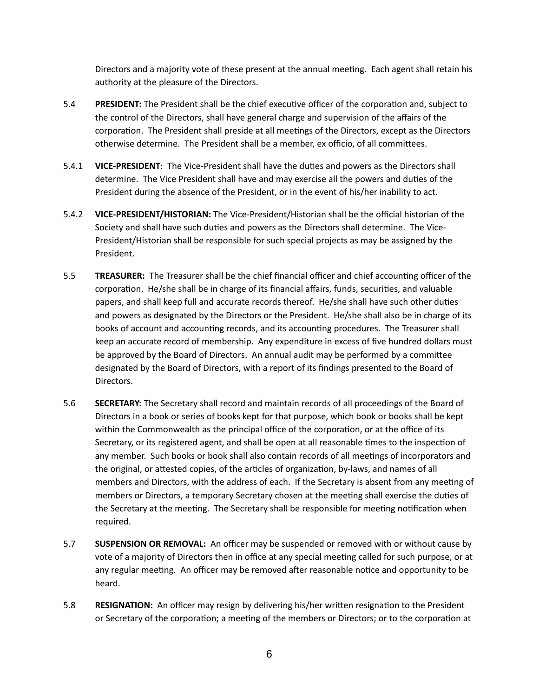Directors and a majority vote of these present at the annual meeting. Each agent shall retain his authority at the pleasure of the Directors.

- 5.4 **PRESIDENT:** The President shall be the chief executive officer of the corporation and, subject to the control of the Directors, shall have general charge and supervision of the affairs of the corporation. The President shall preside at all meetings of the Directors, except as the Directors otherwise determine. The President shall be a member, ex officio, of all committees.
- 5.4.1 **VICE-PRESIDENT**: The Vice-President shall have the duties and powers as the Directors shall determine. The Vice President shall have and may exercise all the powers and duties of the President during the absence of the President, or in the event of his/her inability to act.
- 5.4.2 **VICE-PRESIDENT/HISTORIAN:** The Vice-President/Historian shall be the official historian of the Society and shall have such duties and powers as the Directors shall determine. The Vice-President/Historian shall be responsible for such special projects as may be assigned by the President.
- 5.5 **TREASURER:** The Treasurer shall be the chief financial officer and chief accounting officer of the corporation. He/she shall be in charge of its financial affairs, funds, securities, and valuable papers, and shall keep full and accurate records thereof. He/she shall have such other duties and powers as designated by the Directors or the President. He/she shall also be in charge of its books of account and accounting records, and its accounting procedures. The Treasurer shall keep an accurate record of membership. Any expenditure in excess of five hundred dollars must be approved by the Board of Directors. An annual audit may be performed by a committee designated by the Board of Directors, with a report of its findings presented to the Board of Directors.
- 5.6 SECRETARY: The Secretary shall record and maintain records of all proceedings of the Board of Directors in a book or series of books kept for that purpose, which book or books shall be kept within the Commonwealth as the principal office of the corporation, or at the office of its Secretary, or its registered agent, and shall be open at all reasonable times to the inspection of any member. Such books or book shall also contain records of all meetings of incorporators and the original, or attested copies, of the articles of organization, by-laws, and names of all members and Directors, with the address of each. If the Secretary is absent from any meeting of members or Directors, a temporary Secretary chosen at the meeting shall exercise the duties of the Secretary at the meeting. The Secretary shall be responsible for meeting notification when required.
- 5.7 **SUSPENSION OR REMOVAL:** An officer may be suspended or removed with or without cause by vote of a majority of Directors then in office at any special meeting called for such purpose, or at any regular meeting. An officer may be removed after reasonable notice and opportunity to be heard.
- 5.8 **RESIGNATION:** An officer may resign by delivering his/her written resignation to the President or Secretary of the corporation; a meeting of the members or Directors; or to the corporation at